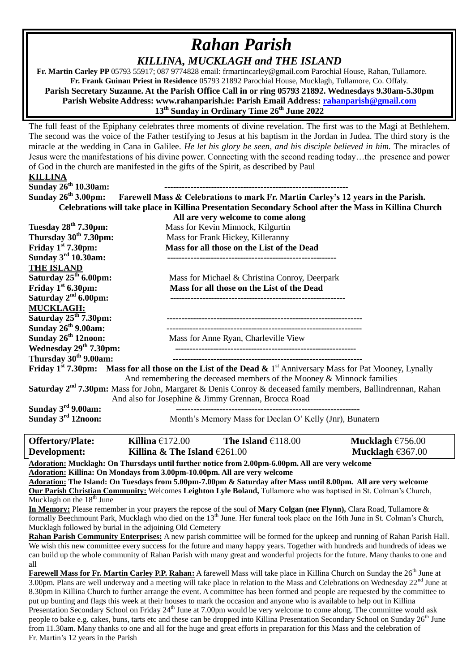## *Rahan Parish KILLINA, MUCKLAGH and THE ISLAND*

 **Fr. Martin Carley PP** 05793 55917; 087 9774828 email: frmartincarley@gmail.com Parochial House, Rahan, Tullamore. **Fr. Frank Guinan Priest in Residence** 05793 21892 Parochial House, Mucklagh, Tullamore, Co. Offaly. **Parish Secretary Suzanne. At the Parish Office Call in or ring 05793 21892. Wednesdays 9.30am-5.30pm Parish Website Address: www.rahanparish.ie: Parish Email Address: [rahanparish@gmail.com](mailto:rahanparish@gmail.com) 13th Sunday in Ordinary Time 26th June 2022**

The full feast of the Epiphany celebrates three moments of divine revelation. The first was to the Magi at Bethlehem. The second was the voice of the Father testifying to Jesus at his baptism in the Jordan in Judea. The third story is the miracle at the wedding in Cana in Galilee. *He let his glory be seen, and his disciple believed in him.* The miracles of Jesus were the manifestations of his divine power. Connecting with the second reading today…the presence and power of God in the church are manifested in the gifts of the Spirit, as described by Paul

| <b>KILLINA</b>                                                                                                                                |                                                         |                    |
|-----------------------------------------------------------------------------------------------------------------------------------------------|---------------------------------------------------------|--------------------|
| Sunday 26 <sup>th</sup> 10.30am:                                                                                                              |                                                         |                    |
| Sunday $26^{th}$ 3.00pm:<br>Farewell Mass & Celebrations to mark Fr. Martin Carley's 12 years in the Parish.                                  |                                                         |                    |
| Celebrations will take place in Killina Presentation Secondary School after the Mass in Killina Church                                        |                                                         |                    |
|                                                                                                                                               | All are very welcome to come along                      |                    |
| Tuesday 28 <sup>th</sup> 7.30pm:                                                                                                              | Mass for Kevin Minnock, Kilgurtin                       |                    |
| Thursday $30th$ 7.30pm:                                                                                                                       | Mass for Frank Hickey, Killeranny                       |                    |
| Friday $1st 7.30$ pm:                                                                                                                         | Mass for all those on the List of the Dead              |                    |
| Sunday $3^{\text{rd}}$ 10.30am:                                                                                                               |                                                         |                    |
| <b>THE ISLAND</b>                                                                                                                             |                                                         |                    |
| Saturday $25^{th}$ 6.00pm:                                                                                                                    | Mass for Michael & Christina Conroy, Deerpark           |                    |
| Friday $1st$ 6.30pm:                                                                                                                          | Mass for all those on the List of the Dead              |                    |
| Saturday $2nd 6.00$ pm:                                                                                                                       |                                                         |                    |
| <b>MUCKLAGH:</b>                                                                                                                              |                                                         |                    |
| Saturday $25th$ 7.30pm:                                                                                                                       |                                                         |                    |
| Sunday 26 <sup>th</sup> 9.00am:                                                                                                               |                                                         |                    |
| Sunday 26 <sup>th</sup> 12noon:                                                                                                               | Mass for Anne Ryan, Charleville View                    |                    |
| Wednesday 29 <sup>th</sup> 7.30pm:                                                                                                            |                                                         |                    |
| Thursday 30 <sup>th</sup> 9.00am:                                                                                                             |                                                         |                    |
| <b>Friday 1<sup>st</sup> 7.30pm:</b> Mass for all those on the List of the Dead $\&$ 1 <sup>st</sup> Anniversary Mass for Pat Mooney, Lynally |                                                         |                    |
| And remembering the deceased members of the Mooney & Minnock families                                                                         |                                                         |                    |
| <b>Saturday 2<sup>nd</sup> 7.30pm:</b> Mass for John, Margaret & Denis Conroy & deceased family members, Ballindrennan, Rahan                 |                                                         |                    |
| And also for Josephine & Jimmy Grennan, Brocca Road                                                                                           |                                                         |                    |
| Sunday $3rd$ 9.00am:                                                                                                                          |                                                         |                    |
| Sunday $3rd$ 12noon:                                                                                                                          | Month's Memory Mass for Declan O' Kelly (Jnr), Bunatern |                    |
|                                                                                                                                               |                                                         |                    |
| Killina $£172.00$<br><b>Offertory/Plate:</b>                                                                                                  | The Island $\mathcal{E}118.00$                          | Mucklagh $£756.00$ |
| Development:                                                                                                                                  | Killina & The Island $£261.00$                          | Mucklagh $€367.00$ |
| Adoration: Mucklagh: On Thursdays until further notice from 2.00pm-6.00pm. All are very welcome                                               |                                                         |                    |
| Adoration: Killina: On Mondays from 3.00pm-10.00pm. All are very welcome                                                                      |                                                         |                    |
| Adoration: The Island: On Tuesdays from 5.00pm-7.00pm & Saturday after Mass until 8.00pm. All are very welcome                                |                                                         |                    |
| Our Parish Christian Community: Welcomes Leighton Lyle Boland, Tullamore who was baptised in St. Colman's Church,                             |                                                         |                    |

Mucklagh on the  $18<sup>th</sup>$  June

**In Memory:** Please remember in your prayers the repose of the soul of **Mary Colgan (nee Flynn),** Clara Road, Tullamore & formally Beechmount Park, Mucklagh who died on the 13<sup>th</sup> June. Her funeral took place on the 16th June in St. Colman's Church, Mucklagh followed by burial in the adjoining Old Cemetery

**Rahan Parish Community Enterprises:** A new parish committee will be formed for the upkeep and running of Rahan Parish Hall. We wish this new committee every success for the future and many happy years. Together with hundreds and hundreds of ideas we can build up the whole community of Rahan Parish with many great and wonderful projects for the future. Many thanks to one and all

Farewell Mass for Fr. Martin Carley P.P. Rahan: A farewell Mass will take place in Killina Church on Sunday the 26<sup>th</sup> June at 3.00pm. Plans are well underway and a meeting will take place in relation to the Mass and Celebrations on Wednesday  $22<sup>nd</sup>$  June at 8.30pm in Killina Church to further arrange the event. A committee has been formed and people are requested by the committee to put up bunting and flags this week at their houses to mark the occasion and anyone who is available to help out in Killina Presentation Secondary School on Friday 24<sup>th</sup> June at 7.00pm would be very welcome to come along. The committee would ask people to bake e.g. cakes, buns, tarts etc and these can be dropped into Killina Presentation Secondary School on Sunday 26<sup>th</sup> June from 11.30am. Many thanks to one and all for the huge and great efforts in preparation for this Mass and the celebration of Fr. Martin's 12 years in the Parish